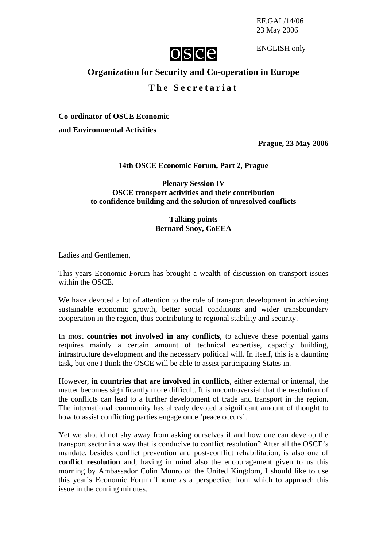EF.GAL/14/06 23 May 2006



ENGLISH only

# **Organization for Security and Co-operation in Europe**

## **The Secretariat**

**Co-ordinator of OSCE Economic** 

**and Environmental Activities** 

**Prague, 23 May 2006**

### **14th OSCE Economic Forum, Part 2, Prague**

### **Plenary Session IV OSCE transport activities and their contribution to confidence building and the solution of unresolved conflicts**

#### **Talking points Bernard Snoy, CoEEA**

Ladies and Gentlemen,

This years Economic Forum has brought a wealth of discussion on transport issues within the OSCE.

We have devoted a lot of attention to the role of transport development in achieving sustainable economic growth, better social conditions and wider transboundary cooperation in the region, thus contributing to regional stability and security.

In most **countries not involved in any conflicts**, to achieve these potential gains requires mainly a certain amount of technical expertise, capacity building, infrastructure development and the necessary political will. In itself, this is a daunting task, but one I think the OSCE will be able to assist participating States in.

However, **in countries that are involved in conflicts**, either external or internal, the matter becomes significantly more difficult. It is uncontroversial that the resolution of the conflicts can lead to a further development of trade and transport in the region. The international community has already devoted a significant amount of thought to how to assist conflicting parties engage once 'peace occurs'.

Yet we should not shy away from asking ourselves if and how one can develop the transport sector in a way that is conducive to conflict resolution? After all the OSCE's mandate, besides conflict prevention and post-conflict rehabilitation, is also one of **conflict resolution** and, having in mind also the encouragement given to us this morning by Ambassador Colin Munro of the United Kingdom, I should like to use this year's Economic Forum Theme as a perspective from which to approach this issue in the coming minutes.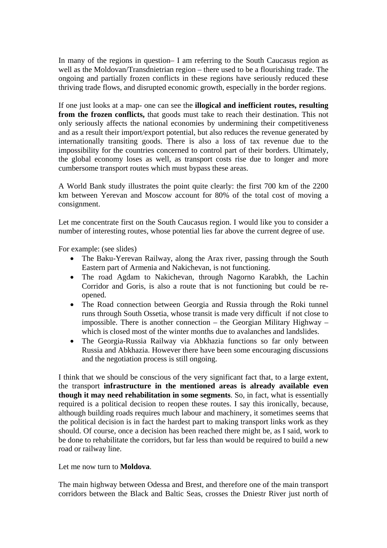In many of the regions in question– I am referring to the South Caucasus region as well as the Moldovan/Transdnietrian region – there used to be a flourishing trade. The ongoing and partially frozen conflicts in these regions have seriously reduced these thriving trade flows, and disrupted economic growth, especially in the border regions.

If one just looks at a map- one can see the **illogical and inefficient routes, resulting from the frozen conflicts,** that goods must take to reach their destination. This not only seriously affects the national economies by undermining their competitiveness and as a result their import/export potential, but also reduces the revenue generated by internationally transiting goods. There is also a loss of tax revenue due to the impossibility for the countries concerned to control part of their borders. Ultimately, the global economy loses as well, as transport costs rise due to longer and more cumbersome transport routes which must bypass these areas.

A World Bank study illustrates the point quite clearly: the first 700 km of the 2200 km between Yerevan and Moscow account for 80% of the total cost of moving a consignment.

Let me concentrate first on the South Caucasus region. I would like you to consider a number of interesting routes, whose potential lies far above the current degree of use.

For example: (see slides)

- The Baku-Yerevan Railway, along the Arax river, passing through the South Eastern part of Armenia and Nakichevan, is not functioning.
- The road Agdam to Nakichevan, through Nagorno Karabkh, the Lachin Corridor and Goris, is also a route that is not functioning but could be reopened.
- The Road connection between Georgia and Russia through the Roki tunnel runs through South Ossetia, whose transit is made very difficult if not close to impossible. There is another connection – the Georgian Military Highway – which is closed most of the winter months due to avalanches and landslides.
- The Georgia-Russia Railway via Abkhazia functions so far only between Russia and Abkhazia. However there have been some encouraging discussions and the negotiation process is still ongoing.

I think that we should be conscious of the very significant fact that, to a large extent, the transport **infrastructure in the mentioned areas is already available even though it may need rehabilitation in some segments**. So, in fact, what is essentially required is a political decision to reopen these routes. I say this ironically, because, although building roads requires much labour and machinery, it sometimes seems that the political decision is in fact the hardest part to making transport links work as they should. Of course, once a decision has been reached there might be, as I said, work to be done to rehabilitate the corridors, but far less than would be required to build a new road or railway line.

### Let me now turn to **Moldova**.

The main highway between Odessa and Brest, and therefore one of the main transport corridors between the Black and Baltic Seas, crosses the Dniestr River just north of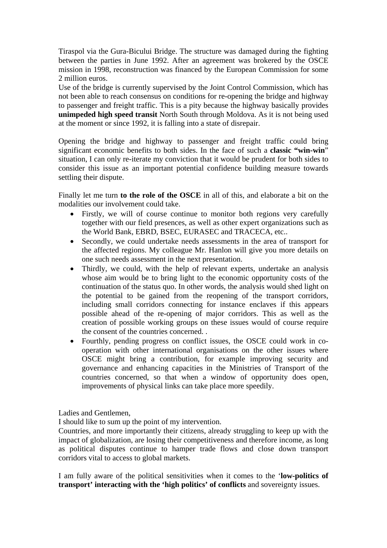Tiraspol via the Gura-Bicului Bridge. The structure was damaged during the fighting between the parties in June 1992. After an agreement was brokered by the OSCE mission in 1998, reconstruction was financed by the European Commission for some 2 million euros.

Use of the bridge is currently supervised by the Joint Control Commission, which has not been able to reach consensus on conditions for re-opening the bridge and highway to passenger and freight traffic. This is a pity because the highway basically provides **unimpeded high speed transit** North South through Moldova. As it is not being used at the moment or since 1992, it is falling into a state of disrepair.

Opening the bridge and highway to passenger and freight traffic could bring significant economic benefits to both sides. In the face of such a **classic "win-win**" situation, I can only re-iterate my conviction that it would be prudent for both sides to consider this issue as an important potential confidence building measure towards settling their dispute.

Finally let me turn **to the role of the OSCE** in all of this, and elaborate a bit on the modalities our involvement could take.

- Firstly, we will of course continue to monitor both regions very carefully together with our field presences, as well as other expert organizations such as the World Bank, EBRD, BSEC, EURASEC and TRACECA, etc..
- Secondly, we could undertake needs assessments in the area of transport for the affected regions. My colleague Mr. Hanlon will give you more details on one such needs assessment in the next presentation.
- Thirdly, we could, with the help of relevant experts, undertake an analysis whose aim would be to bring light to the economic opportunity costs of the continuation of the status quo. In other words, the analysis would shed light on the potential to be gained from the reopening of the transport corridors, including small corridors connecting for instance enclaves if this appears possible ahead of the re-opening of major corridors. This as well as the creation of possible working groups on these issues would of course require the consent of the countries concerned. .
- Fourthly, pending progress on conflict issues, the OSCE could work in cooperation with other international organisations on the other issues where OSCE might bring a contribution, for example improving security and governance and enhancing capacities in the Ministries of Transport of the countries concerned, so that when a window of opportunity does open, improvements of physical links can take place more speedily.

Ladies and Gentlemen,

I should like to sum up the point of my intervention.

Countries, and more importantly their citizens, already struggling to keep up with the impact of globalization, are losing their competitiveness and therefore income, as long as political disputes continue to hamper trade flows and close down transport corridors vital to access to global markets.

I am fully aware of the political sensitivities when it comes to the '**low-politics of transport' interacting with the 'high politics' of conflicts** and sovereignty issues.